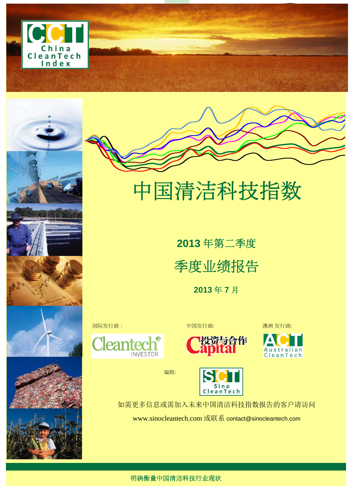









中国清洁科技指数

**2013** 年第二季度 季度业绩报告

**2013** 年 **7** 月







编制:

Sino<br>CleanTech 如需更多信息或需加入未来中国清洁科技指数报告的客户请访问

www.sinocleantech.com 或联系 contact@sinocleantech.com

明确衡量中国清洁科技行业现状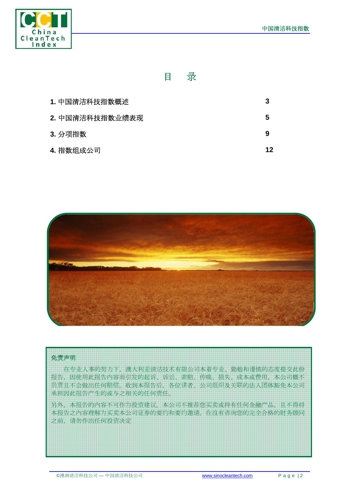

# 目录

| 1. 中国清洁科技指数概述   | 3  |
|-----------------|----|
| 2. 中国清洁科技指数业绩表现 | 5  |
| 3. 分项指数         | 9  |
| 4. 指数组成公司       | 12 |



#### 免责声明

在专业人事的努力下,澳大利亚清洁技术有限公司本着专业、勤勉和谨慎的态度提交此份 业告,因使用此业告内容而引发的起诉、诉诉、索赔、传传、损失、成本或费用,本公司概不 负责且不会做出任何赔偿。收到本报告后,各位读者、公司组织及关联的法人团体豁免本公司 承担因此业告产生的或与之相关的任何责任。

另外,本业告的内容不可作为投资建议。本公司不推荐您买买或持有任何金融产品,且不得将 本报告之内容理解为买卖本公司证券的要约和要约邀请。在沒有咨询您的完全合格的财务顾问 之前,请勿作出任何投资决定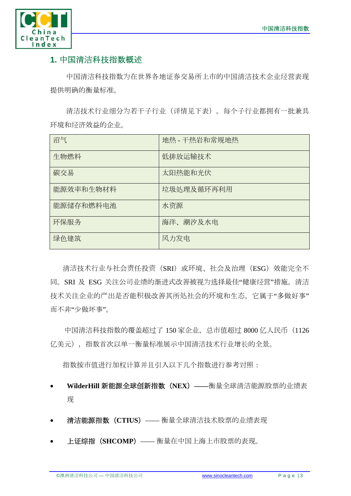

# **1.** 中国清洁科技指数概述

中国清洁科技指数为在世界各地证券交易所上市的中国清洁技术企业经营表现 提供明确的衡量标准。

清洁技术行业业分为若干子行业(详情见下表)。每个子行业都拥有一批兼具 环境和业经效益的企业。

| 沼气        | 地热 - 干热岩和常规地热 |
|-----------|---------------|
| 生物燃料      | 低排放运输技术       |
| 碳交易       | 太阳热能和光伏       |
| 能源效率和生物材料 | 垃圾处理及循环再利用    |
| 能源储存和燃料电池 | 水资源           |
| 环保服务      | 海洋、潮汐及水电      |
| 绿色建筑      | 风力发电          |

清洁技术行业与社会责任投资(SRI)或环境、社会及治理(ESG)效能完全不 同。SRI 及 ESG 关注公司业绩的渐进式改善被视为选择最佳"健康经营"措施。清洁 技术关注企业的产出是否能积极改善其所处社会的环境和生态。它属于"多做好事" 而不非"少做坏事"。

中国清洁科技指数的覆盖超过了 150 家企业,总市值超过 8000 亿人民币 (1126 亿美元),指数首次以单一衡量标准展示中国清洁技术行业增长的全景。

指数按市值进行加权计算并且引入以下几个指数进行参考对照:

- **WilderHill** 新能源全球创新指数(**NEX**)**——**衡量全球清洁能源股票的业业表 业
- 清洁能源指数 (CTIUS) —— 衡量全球清洁技术股票的业绩表现
- 上证证指(**SHCOMP**)—— 衡量在中国上海上市股票的表业。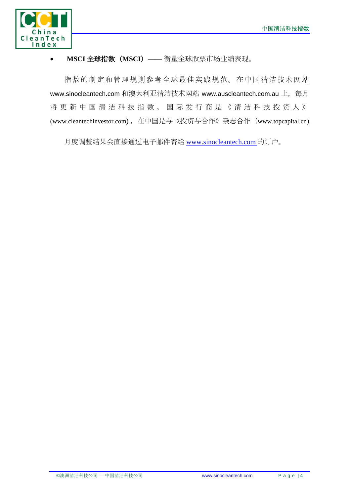

#### • MSCI 全球指数 (MSCI) —— 衡量全球股票市场业绩表现。

指数的制定和管理规规參考全球最佳实践规范。在中国清洁技术网站 www.sinocleantech.com 和澳大利亚清洁技术网站 www.auscleantech.com.au 上, 每月 将更新中国清 洁 科技指数。国 际 发 行商是《清 洁 科技投 资 人 》 (www.cleantechinvestor.com), 在中国是与《投资与合作》杂志合作 (www.topcapital.cn).

月度调整结果会直接通过电子邮件寄给 www.sinocleantech.com 的订订。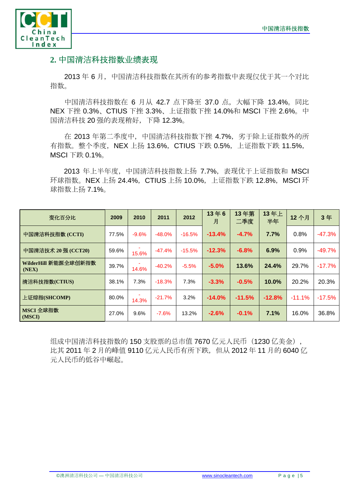

# 2. 中国清洁科技指数业绩表现

2013年6月,中国清洁科技指数在其所有的参考指数中表现仅优于其一个对比 指数。

中国清洁科技指数在 6 月从 42.7 点下降至 37.0 点,大幅下降 13.4%。同比 NEX 下挫 0.3%、CTIUS 下挫 3.3%、上证指数下挫 14.0%和 MSCI 下挫 2.6%。中 国清洁科技 20 强的表现稍好,下降 12.3%。

在 2013 年第二季度中, 中国清洁科技指数下挫 4.7%, 劣于除上证指数外的所 有指数。整个季度, NEX 上扬 13.6%, CTIUS 下跌 0.5%, 上证指数下跌 11.5%, MSCI 下跌 0.1%。

2013 年上半年度, 中国清洁科技指数上扬 7.7%, 表现优于上证指数和 MSCI 环球指数。NEX 上扬 24.4%, CTIUS 上扬 10.0%, 上证指数下跌 12.8%, MSCI 环 球指数上扬 7.1%。

| 变化百分比                         | 2009  | 2010    | 2011     | 2012     | 13年6<br>月 | 13年第<br>二季度 | 13年上<br>半年 | 12个月     | 3年       |
|-------------------------------|-------|---------|----------|----------|-----------|-------------|------------|----------|----------|
| 中国清洁科技指数 (CCTI)               | 77.5% | $-9.6%$ | $-48.0%$ | $-16.5%$ | $-13.4%$  | $-4.7%$     | 7.7%       | 0.8%     | $-47.3%$ |
| 中国清洁技术 20 强 (CCT20)           | 59.6% | 15.6%   | $-47.4%$ | $-15.5%$ | $-12.3%$  | $-6.8%$     | 6.9%       | 0.9%     | $-49.7%$ |
| WilderHill 新能源全球创新指数<br>(NEX) | 39.7% | 14.6%   | $-40.2%$ | $-5.5%$  | $-5.0%$   | 13.6%       | 24.4%      | 29.7%    | $-17.7%$ |
| 清洁科技指数(CTIUS)                 | 38.1% | 7.3%    | $-18.3%$ | 7.3%     | $-3.3%$   | $-0.5%$     | 10.0%      | 20.2%    | 20.3%    |
| 上证综指(SHCOMP)                  | 80.0% | 14.3%   | $-21.7%$ | 3.2%     | $-14.0%$  | $-11.5%$    | $-12.8%$   | $-11.1%$ | $-17.5%$ |
| MSCI 全球指数<br>(MSCI)           | 27.0% | 9.6%    | $-7.6%$  | 13.2%    | $-2.6%$   | $-0.1%$     | 7.1%       | 16.0%    | 36.8%    |

组成中国清洁科技指数的 150 支股票的总市值 7670 亿元人民币(1230 亿美金), 比其 2011 年 2 月的峰值 9110 亿元人民币有所下跌,但从 2012 年 11 月的 6040 亿 元人民币的低谷中崛起。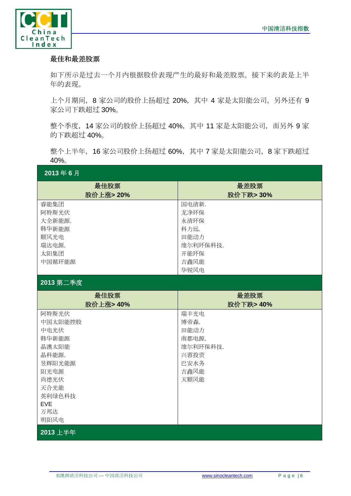

#### 最佳和最差股票

如下所示是过去一个月内根据股价表现产生的最好和最差股票。接下来的表是上半 年的表业。

上个月期间,8 家公司的股价上扬超过 20%,其中 4 家是太阳能公司,另外还有 9 家公司下跌超过 30%。

整个季度,14 家公司的股价上扬超过 40%,其中 11 家是太阳能公司,而另外 9 家 的下跌超过 40%。

整个上半年,16 家公司股价上扬超过 60%,其中 7 家是太阳能公司,8 家下跌超过 40%。

| 2013年6月         |                  |  |  |  |  |
|-----------------|------------------|--|--|--|--|
| 最佳股票            | 最差股票             |  |  |  |  |
| 股价上涨>20%        | 股价下跌> 30%        |  |  |  |  |
| 睿能集团            | 国电清新.            |  |  |  |  |
| 阿特斯光伏           | 龙净环保             |  |  |  |  |
| 大全新能源.          | 永清环保             |  |  |  |  |
| 韩华新能源           | 科力远.             |  |  |  |  |
| 顺风光电<br>瑞达电源.   | 田能动力             |  |  |  |  |
| 太阳集团            | 维尔利环保科技.<br>开能环保 |  |  |  |  |
| 中国循环能源          | 吉鑫风能             |  |  |  |  |
|                 | 华锐风电             |  |  |  |  |
|                 |                  |  |  |  |  |
| 2013 第二季度       |                  |  |  |  |  |
| 最佳股票            | 最差股票             |  |  |  |  |
| 股价上涨> 40%       | 股价下跌> 40%        |  |  |  |  |
| 阿特斯光伏           | 瑞丰光电             |  |  |  |  |
| 中国太阳能控股         | 博帝森.             |  |  |  |  |
| 中电光伏            | 田能动力             |  |  |  |  |
| 韩华新能源           | 南都电源.            |  |  |  |  |
| 晶澳太阳能           | 维尔利环保科技.         |  |  |  |  |
| 晶科能源.<br>昱辉阳光能源 | 兴蓉投资<br>巴安水务     |  |  |  |  |
| 阳光电源            | 吉鑫风能             |  |  |  |  |
| 尚德光伏            | 天顺风能             |  |  |  |  |
| 天合光能            |                  |  |  |  |  |
| 英利绿色科技          |                  |  |  |  |  |
| <b>EVE</b>      |                  |  |  |  |  |
| 万邦达             |                  |  |  |  |  |
| 明阳风电            |                  |  |  |  |  |
| 2013 上半年        |                  |  |  |  |  |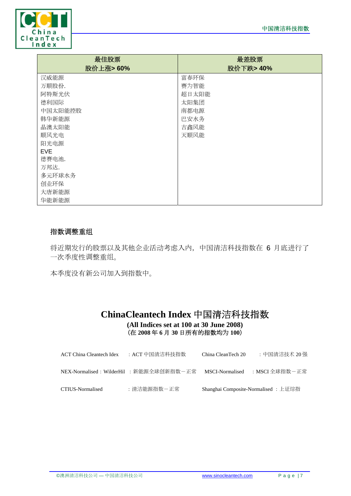

| 最佳股票<br>股价上涨>60% | 最差股票<br>股价下跌> 40% |
|------------------|-------------------|
| 汉威能源             | 富春环保              |
|                  |                   |
| 万顺股份.            | 赛为智能              |
| 阿特斯光伏            | 超日太阳能             |
| 德利国际             | 太阳集团              |
| 中国太阳能控股          | 南都电源              |
| 韩华新能源            | 巴安水务              |
| 晶澳太阳能            | 吉鑫风能              |
| 顺风光电             | 天顺风能              |
| 阳光电源             |                   |
| <b>EVE</b>       |                   |
| 德赛电池.            |                   |
| 万邦达.             |                   |
| 多元环球水务           |                   |
| 创业环保             |                   |
| 大唐新能源            |                   |
| 华能新能源            |                   |

### 指数调整重组

将近期发行的股票以及其他企业活动考虑入内,中国清洁科技指数在 6 月底进行了 一次季度性调整重组。

本季度没有新公司加入到指数中。

## **ChinaCleantech Index** 中国清洁科技指数 **(All Indices set at 100 at 30 June 2008)**  (在 **2008** 年 **6** 月 **30** 日所有的指数均为 **100**)

| <b>ACT China Cleantech Idex</b> | :ACT 中国清洁科技指数                          | China CleanTech 20 | :中国清洁技术 20 强                         |
|---------------------------------|----------------------------------------|--------------------|--------------------------------------|
|                                 | NEX-Normalised:WilderHil :新能源全球创新指数-正常 | MSCI-Normalised    | :MSCI 全球指数-正常:                       |
| CTIUS-Normalised                | :清洁能源指数-正常                             |                    | Shanghai Composite-Normalised : 上证综指 |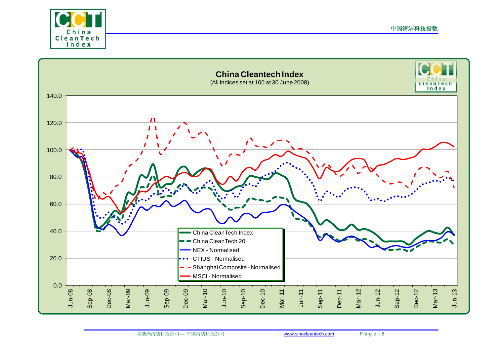



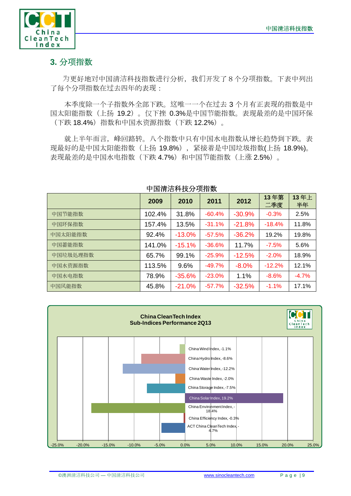

# **3.** 分项指数

为更好地对中国清洁科技指数渐行分析,我们开发了8个分项指数。下表中列出 了每个分项指数在过去四年的表业:

本季度除一个子指数外全部下跌。这唯一一个在过去 3 个月有正表业的指数是中 国太阳能指数(上扬 19.2)。现下挫 0.3%是中国节能指数。表业最差的是中国环保 (下跌 18.4%)指数和中国水资源指数(下跌 12.2%)。

就上半年而言,峰回路转。八个指数中只有中国水电指数从增长趋势到下跌。表 现最好的是中国太阳能指数(上扬 19.8%), 紧接着是中国垃圾指数(上扬 18.9%)。 表现最差的是中国水电指数(下跌 4.7%)和中国节能指数(上涨 2.5%)。

|          | 2009   | 2010     | 2011     | 2012     | 13年第<br>二季度 | 13年上<br>半年 |
|----------|--------|----------|----------|----------|-------------|------------|
| 中国节能指数   | 102.4% | 31.8%    | $-60.4%$ | $-30.9%$ | $-0.3%$     | 2.5%       |
| 中国环保指数   | 157.4% | 13.5%    | $-31.1%$ | $-21.8%$ | $-18.4%$    | 11.8%      |
| 中国太阳能指数  | 92.4%  | $-13.0%$ | $-57.5%$ | $-36.2%$ | 19.2%       | 19.8%      |
| 中国蓄能指数   | 141.0% | $-15.1%$ | $-36.6%$ | 11.7%    | $-7.5%$     | 5.6%       |
| 中国垃圾处理指数 | 65.7%  | 99.1%    | $-25.9%$ | $-12.5%$ | $-2.0%$     | 18.9%      |
| 中国水资源指数  | 113.5% | 9.6%     | $-49.7%$ | $-8.0\%$ | $-12.2%$    | 12.1%      |
| 中国水电指数   | 78.9%  | $-35.6%$ | $-23.0%$ | 1.1%     | $-8.6%$     | $-4.7%$    |
| 中国风能指数   | 45.8%  | $-21.0%$ | $-57.7%$ | $-32.5%$ | $-1.1%$     | 17.1%      |

## 中国清洁科技分项指数

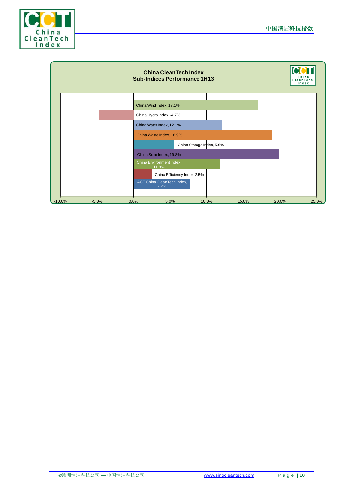

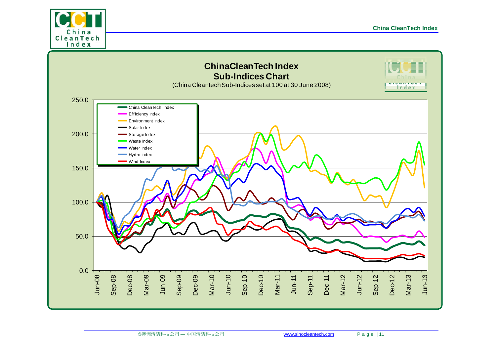